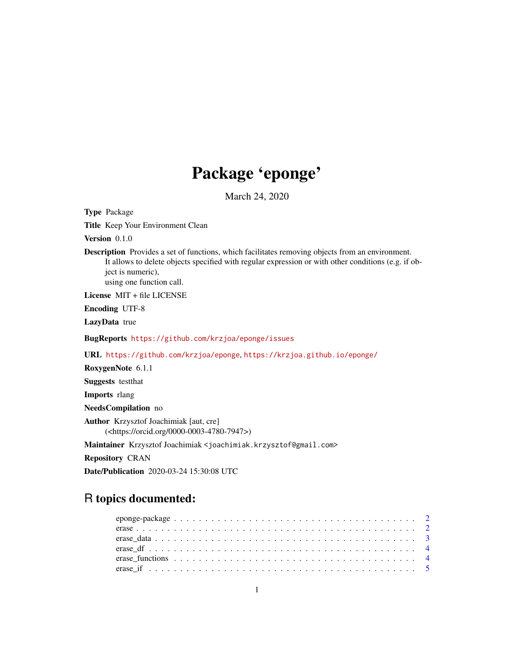# Package 'eponge'

March 24, 2020

Type Package

Title Keep Your Environment Clean

Version 0.1.0

Description Provides a set of functions, which facilitates removing objects from an environment. It allows to delete objects specified with regular expression or with other conditions (e.g. if object is numeric),

using one function call.

License MIT + file LICENSE

Encoding UTF-8

LazyData true

BugReports <https://github.com/krzjoa/eponge/issues>

URL <https://github.com/krzjoa/eponge>, <https://krzjoa.github.io/eponge/>

RoxygenNote 6.1.1

Suggests testthat

Imports rlang

NeedsCompilation no

Author Krzysztof Joachimiak [aut, cre] (<https://orcid.org/0000-0003-4780-7947>)

Maintainer Krzysztof Joachimiak <joachimiak.krzysztof@gmail.com>

Repository CRAN

Date/Publication 2020-03-24 15:30:08 UTC

# R topics documented: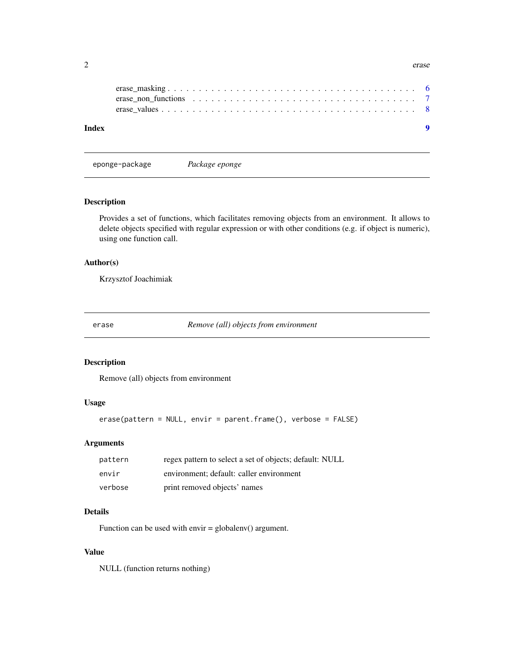<span id="page-1-0"></span>

| $\overline{\phantom{0}}$<br>. . | erase |
|---------------------------------|-------|
|---------------------------------|-------|

eponge-package *Package eponge*

# Description

Provides a set of functions, which facilitates removing objects from an environment. It allows to delete objects specified with regular expression or with other conditions (e.g. if object is numeric), using one function call.

# Author(s)

Krzysztof Joachimiak

erase *Remove (all) objects from environment*

# Description

Remove (all) objects from environment

# Usage

```
erase(pattern = NULL, envir = parent.frame(), verbose = FALSE)
```
# Arguments

| pattern | regex pattern to select a set of objects; default: NULL |
|---------|---------------------------------------------------------|
| envir   | environment; default: caller environment                |
| verbose | print removed objects' names                            |

#### Details

Function can be used with envir = globalenv() argument.

#### Value

NULL (function returns nothing)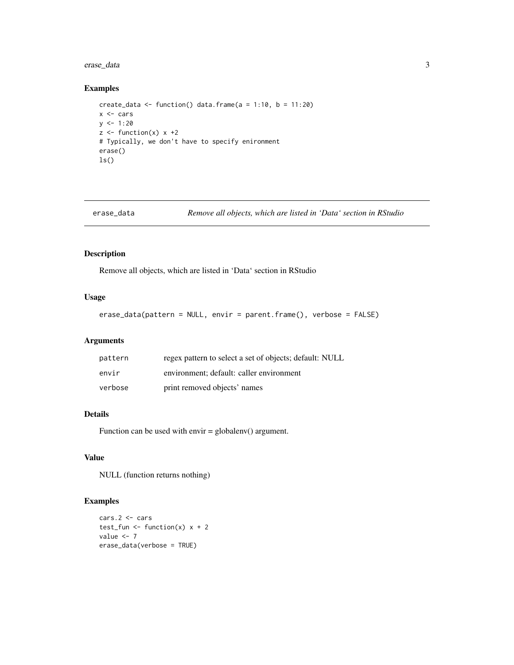# <span id="page-2-0"></span>erase\_data 3

#### Examples

```
create_data <- function() data.frame(a = 1:10, b = 11:20)
x <- cars
y \le -1:20z \le function(x) x + 2# Typically, we don't have to specify enironment
erase()
ls()
```
erase\_data *Remove all objects, which are listed in 'Data' section in RStudio*

# Description

Remove all objects, which are listed in 'Data' section in RStudio

#### Usage

```
erase_data(pattern = NULL, envir = parent.frame(), verbose = FALSE)
```
# Arguments

| pattern | regex pattern to select a set of objects; default: NULL |
|---------|---------------------------------------------------------|
| envir   | environment; default: caller environment                |
| verbose | print removed objects' names                            |

#### Details

Function can be used with envir  $=$  globalenv() argument.

# Value

NULL (function returns nothing)

#### Examples

```
cars.2 <- cars
test_fun <- function(x) x + 2value <- 7
erase_data(verbose = TRUE)
```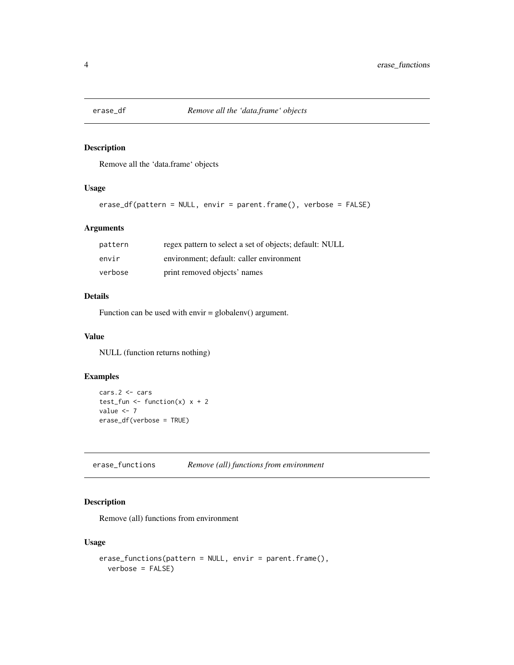<span id="page-3-0"></span>

# Description

Remove all the 'data.frame' objects

#### Usage

```
erase_df(pattern = NULL, envir = parent.frame(), verbose = FALSE)
```
# Arguments

| pattern | regex pattern to select a set of objects; default: NULL |
|---------|---------------------------------------------------------|
| envir   | environment; default: caller environment                |
| verbose | print removed objects' names                            |

#### Details

Function can be used with envir = globalenv() argument.

#### Value

NULL (function returns nothing)

# Examples

```
cars.2 <- cars
test_fun <- function(x) x + 2value <- 7
erase_df(verbose = TRUE)
```
erase\_functions *Remove (all) functions from environment*

# Description

Remove (all) functions from environment

#### Usage

```
erase_functions(pattern = NULL, envir = parent.frame(),
 verbose = FALSE)
```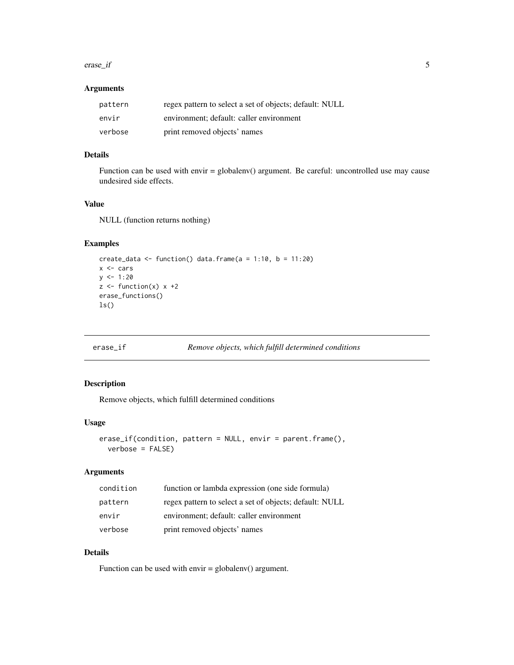#### <span id="page-4-0"></span>erase\_if 5

#### Arguments

| pattern | regex pattern to select a set of objects; default: NULL |
|---------|---------------------------------------------------------|
| envir   | environment: default: caller environment                |
| verbose | print removed objects' names                            |

#### Details

Function can be used with envir = globalenv() argument. Be careful: uncontrolled use may cause undesired side effects.

#### Value

NULL (function returns nothing)

#### Examples

```
create_data <- function() data.frame(a = 1:10, b = 11:20)
x <- cars
y \le -1:20z \leftarrow function(x) x + 2erase_functions()
ls()
```
erase\_if *Remove objects, which fulfill determined conditions*

# Description

Remove objects, which fulfill determined conditions

#### Usage

```
erase_if(condition, pattern = NULL, envir = parent.frame(),
 verbose = FALSE)
```
# Arguments

| condition | function or lambda expression (one side formula)        |
|-----------|---------------------------------------------------------|
| pattern   | regex pattern to select a set of objects; default: NULL |
| envir     | environment; default: caller environment                |
| verbose   | print removed objects' names                            |

#### Details

Function can be used with envir = globalenv() argument.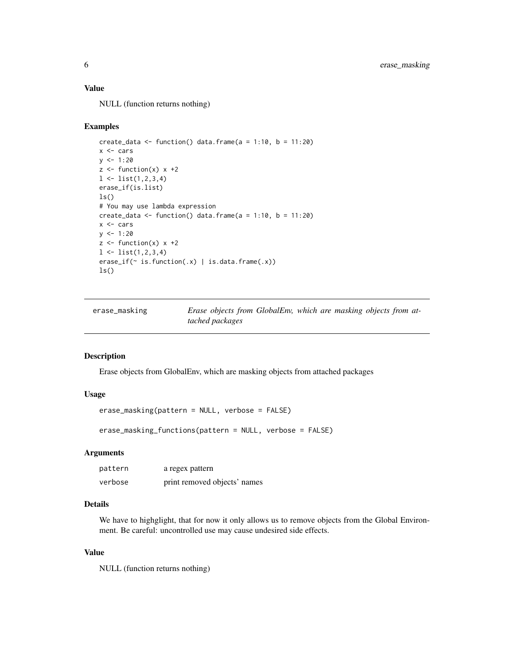#### <span id="page-5-0"></span>Value

NULL (function returns nothing)

#### Examples

```
create_data <- function() data.frame(a = 1:10, b = 11:20)
x <- cars
y \le -1:20z <- function(x) x +21 \leftarrow list(1, 2, 3, 4)erase_if(is.list)
ls()# You may use lambda expression
create_data <- function() data.frame(a = 1:10, b = 11:20)
x <- cars
y \le -1:20z \le function(x) x + 21 \leftarrow list(1, 2, 3, 4)erase_if(~ is.function(.x) | is.data.frame(.x))
ls()
```

| erase_masking | Erase objects from GlobalEnv, which are masking objects from at- |  |  |  |  |
|---------------|------------------------------------------------------------------|--|--|--|--|
|               | tached packages                                                  |  |  |  |  |

# Description

Erase objects from GlobalEnv, which are masking objects from attached packages

#### Usage

```
erase_masking(pattern = NULL, verbose = FALSE)
```
erase\_masking\_functions(pattern = NULL, verbose = FALSE)

# Arguments

| pattern | a regex pattern              |
|---------|------------------------------|
| verbose | print removed objects' names |

# Details

We have to highglight, that for now it only allows us to remove objects from the Global Environment. Be careful: uncontrolled use may cause undesired side effects.

#### Value

NULL (function returns nothing)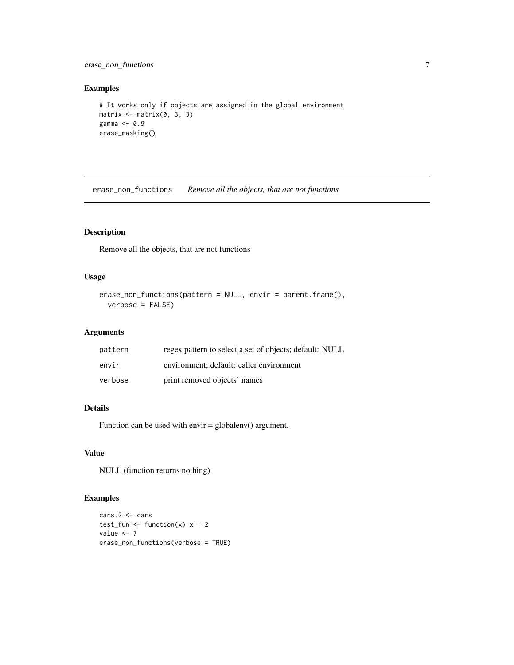<span id="page-6-0"></span>erase\_non\_functions 7

#### Examples

```
# It works only if objects are assigned in the global environment
matrix <- matrix(0, 3, 3)
gamma <- 0.9
erase_masking()
```
erase\_non\_functions *Remove all the objects, that are not functions*

# Description

Remove all the objects, that are not functions

#### Usage

```
erase_non_functions(pattern = NULL, envir = parent.frame(),
  verbose = FALSE)
```
# Arguments

| pattern | regex pattern to select a set of objects; default: NULL |
|---------|---------------------------------------------------------|
| envir   | environment: default: caller environment                |
| verbose | print removed objects' names                            |

#### Details

Function can be used with envir = globalenv() argument.

# Value

NULL (function returns nothing)

# Examples

```
cars.2 <- cars
test_fun <- function(x) x + 2value <- 7
erase_non_functions(verbose = TRUE)
```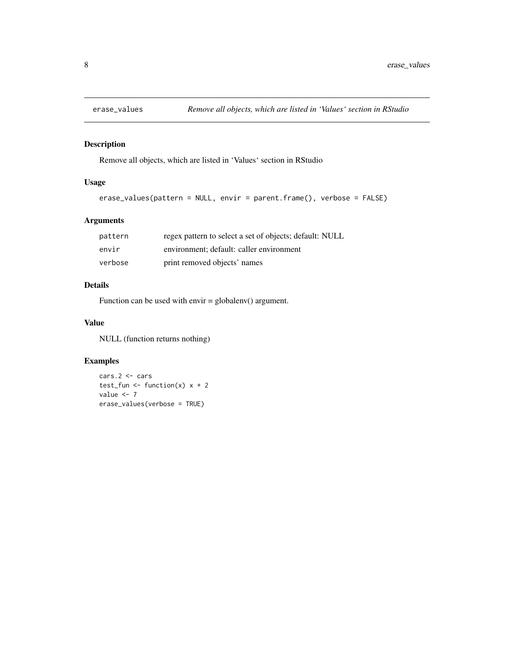<span id="page-7-0"></span>

# Description

Remove all objects, which are listed in 'Values' section in RStudio

# Usage

```
erase_values(pattern = NULL, envir = parent.frame(), verbose = FALSE)
```
# Arguments

| pattern | regex pattern to select a set of objects; default: NULL |
|---------|---------------------------------------------------------|
| envir   | environment; default: caller environment                |
| verbose | print removed objects' names                            |

#### Details

Function can be used with envir  $=$  globalenv() argument.

#### Value

NULL (function returns nothing)

# Examples

```
cars.2 <- cars
test_fun <- function(x) x + 2value <- 7
erase_values(verbose = TRUE)
```